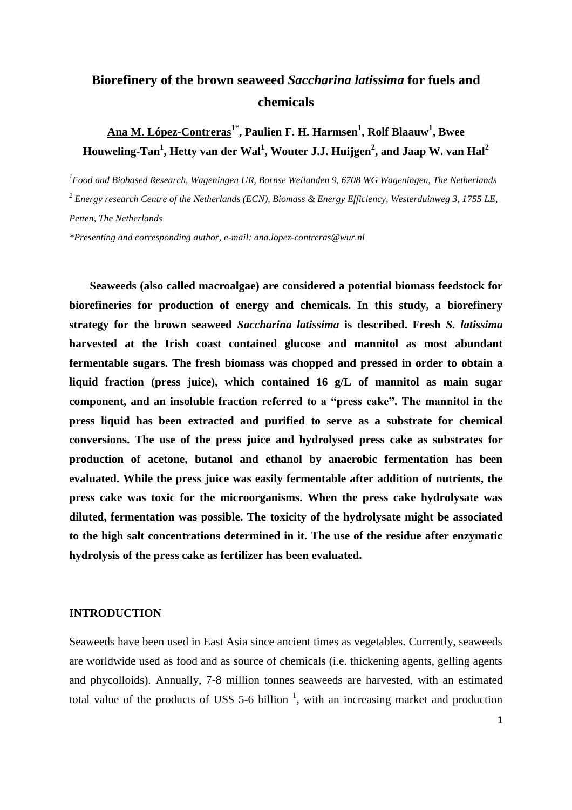# **Biorefinery of the brown seaweed** *Saccharina latissima* **for fuels and chemicals**

## **Ana M. López-Contreras1\* , Paulien F. H. Harmsen<sup>1</sup> , Rolf Blaauw<sup>1</sup> , Bwee Houweling-Tan<sup>1</sup> , Hetty van der Wal<sup>1</sup> , Wouter J.J. Huijgen<sup>2</sup> , and Jaap W. van Hal<sup>2</sup>**

*<sup>1</sup>Food and Biobased Research, Wageningen UR, Bornse Weilanden 9, 6708 WG Wageningen, The Netherlands <sup>2</sup> Energy research Centre of the Netherlands (ECN), Biomass & Energy Efficiency, Westerduinweg 3, 1755 LE, Petten, The Netherlands*

*\*Presenting and corresponding author, e-mail: ana.lopez-contreras@wur.nl*

**Seaweeds (also called macroalgae) are considered a potential biomass feedstock for biorefineries for production of energy and chemicals. In this study, a biorefinery strategy for the brown seaweed** *Saccharina latissima* **is described. Fresh** *S. latissima* **harvested at the Irish coast contained glucose and mannitol as most abundant fermentable sugars. The fresh biomass was chopped and pressed in order to obtain a liquid fraction (press juice), which contained 16 g/L of mannitol as main sugar component, and an insoluble fraction referred to a "press cake". The mannitol in the press liquid has been extracted and purified to serve as a substrate for chemical conversions. The use of the press juice and hydrolysed press cake as substrates for production of acetone, butanol and ethanol by anaerobic fermentation has been evaluated. While the press juice was easily fermentable after addition of nutrients, the press cake was toxic for the microorganisms. When the press cake hydrolysate was diluted, fermentation was possible. The toxicity of the hydrolysate might be associated to the high salt concentrations determined in it. The use of the residue after enzymatic hydrolysis of the press cake as fertilizer has been evaluated.**

#### **INTRODUCTION**

Seaweeds have been used in East Asia since ancient times as vegetables. Currently, seaweeds are worldwide used as food and as source of chemicals (i.e. thickening agents, gelling agents and phycolloids). Annually, 7-8 million tonnes seaweeds are harvested, with an estimated total value of the products of US\$ 5-6 billion  $\frac{1}{1}$  $\frac{1}{1}$  $\frac{1}{1}$ , with an increasing market and production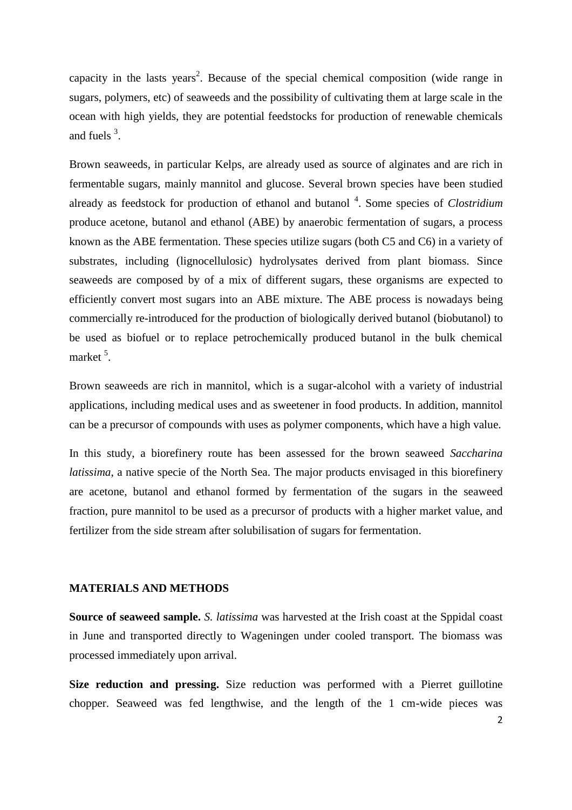capacity in the lasts years<sup>[2](#page-11-1)</sup>. Because of the special chemical composition (wide range in sugars, polymers, etc) of seaweeds and the possibility of cultivating them at large scale in the ocean with high yields, they are potential feedstocks for production of renewable chemicals and fuels  $3$ .

Brown seaweeds, in particular Kelps, are already used as source of alginates and are rich in fermentable sugars, mainly mannitol and glucose. Several brown species have been studied already as feedstock for production of ethanol and butanol<sup>[4](#page-11-3)</sup>. Some species of *Clostridium* produce acetone, butanol and ethanol (ABE) by anaerobic fermentation of sugars, a process known as the ABE fermentation. These species utilize sugars (both C5 and C6) in a variety of substrates, including (lignocellulosic) hydrolysates derived from plant biomass. Since seaweeds are composed by of a mix of different sugars, these organisms are expected to efficiently convert most sugars into an ABE mixture. The ABE process is nowadays being commercially re-introduced for the production of biologically derived butanol (biobutanol) to be used as biofuel or to replace petrochemically produced butanol in the bulk chemical market<sup>[5](#page-11-4)</sup>.

Brown seaweeds are rich in mannitol, which is a sugar-alcohol with a variety of industrial applications, including medical uses and as sweetener in food products. In addition, mannitol can be a precursor of compounds with uses as polymer components, which have a high value.

In this study, a biorefinery route has been assessed for the brown seaweed *Saccharina latissima*, a native specie of the North Sea. The major products envisaged in this biorefinery are acetone, butanol and ethanol formed by fermentation of the sugars in the seaweed fraction, pure mannitol to be used as a precursor of products with a higher market value, and fertilizer from the side stream after solubilisation of sugars for fermentation.

## **MATERIALS AND METHODS**

**Source of seaweed sample.** *S. latissima* was harvested at the Irish coast at the Sppidal coast in June and transported directly to Wageningen under cooled transport. The biomass was processed immediately upon arrival.

**Size reduction and pressing.** Size reduction was performed with a Pierret guillotine chopper. Seaweed was fed lengthwise, and the length of the 1 cm-wide pieces was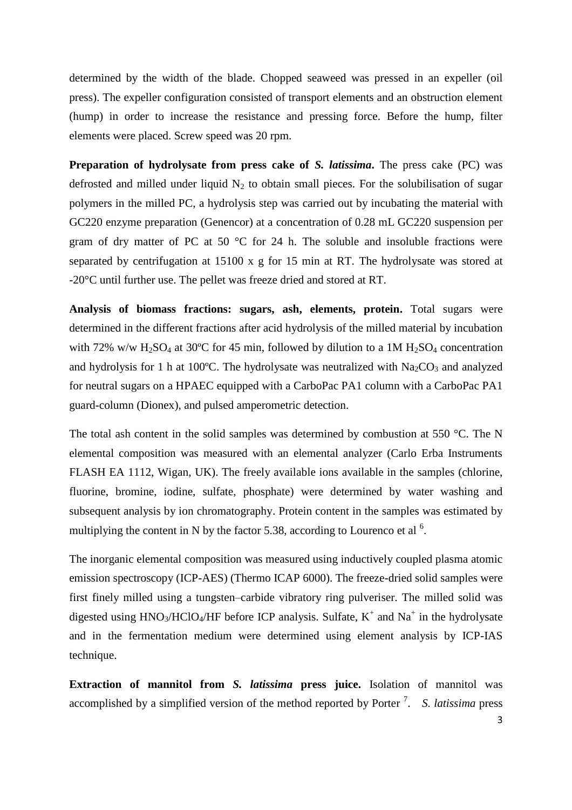determined by the width of the blade. Chopped seaweed was pressed in an expeller (oil press). The expeller configuration consisted of transport elements and an obstruction element (hump) in order to increase the resistance and pressing force. Before the hump, filter elements were placed. Screw speed was 20 rpm.

**Preparation of hydrolysate from press cake of** *S. latissima***.** The press cake (PC) was defrosted and milled under liquid  $N_2$  to obtain small pieces. For the solubilisation of sugar polymers in the milled PC, a hydrolysis step was carried out by incubating the material with GC220 enzyme preparation (Genencor) at a concentration of 0.28 mL GC220 suspension per gram of dry matter of PC at 50 °C for 24 h. The soluble and insoluble fractions were separated by centrifugation at 15100 x g for 15 min at RT. The hydrolysate was stored at -20°C until further use. The pellet was freeze dried and stored at RT.

**Analysis of biomass fractions: sugars, ash, elements, protein.** Total sugars were determined in the different fractions after acid hydrolysis of the milled material by incubation with 72% w/w H<sub>2</sub>SO<sub>4</sub> at 30°C for 45 min, followed by dilution to a 1M H<sub>2</sub>SO<sub>4</sub> concentration and hydrolysis for 1 h at 100°C. The hydrolysate was neutralized with  $Na<sub>2</sub>CO<sub>3</sub>$  and analyzed for neutral sugars on a HPAEC equipped with a CarboPac PA1 column with a CarboPac PA1 guard-column (Dionex), and pulsed amperometric detection.

The total ash content in the solid samples was determined by combustion at 550 °C. The N elemental composition was measured with an elemental analyzer (Carlo Erba Instruments FLASH EA 1112, Wigan, UK). The freely available ions available in the samples (chlorine, fluorine, bromine, iodine, sulfate, phosphate) were determined by water washing and subsequent analysis by ion chromatography. Protein content in the samples was estimated by multiplying the content in N by the factor 5.38, according to Lourenco et al  $^6$  $^6$ .

The inorganic elemental composition was measured using inductively coupled plasma atomic emission spectroscopy (ICP-AES) (Thermo ICAP 6000). The freeze-dried solid samples were first finely milled using a tungsten–carbide vibratory ring pulveriser. The milled solid was digested using  $HNO<sub>3</sub>/HClO<sub>4</sub>/HF$  before ICP analysis. Sulfate,  $K<sup>+</sup>$  and  $Na<sup>+</sup>$  in the hydrolysate and in the fermentation medium were determined using element analysis by ICP-IAS technique.

**Extraction of mannitol from** *S. latissima* **press juice.** Isolation of mannitol was accomplished by a simplified version of the method reported by Porter<sup>[7](#page-11-6)</sup>. S. latissima press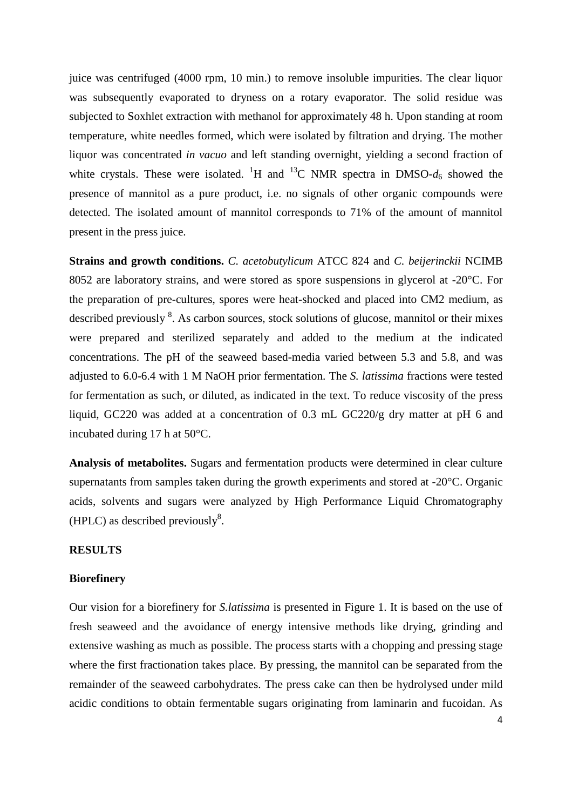juice was centrifuged (4000 rpm, 10 min.) to remove insoluble impurities. The clear liquor was subsequently evaporated to dryness on a rotary evaporator. The solid residue was subjected to Soxhlet extraction with methanol for approximately 48 h. Upon standing at room temperature, white needles formed, which were isolated by filtration and drying. The mother liquor was concentrated *in vacuo* and left standing overnight, yielding a second fraction of white crystals. These were isolated. <sup>1</sup>H and <sup>13</sup>C NMR spectra in DMSO- $d_6$  showed the presence of mannitol as a pure product, i.e. no signals of other organic compounds were detected. The isolated amount of mannitol corresponds to 71% of the amount of mannitol present in the press juice.

**Strains and growth conditions.** *C. acetobutylicum* ATCC 824 and *C. beijerinckii* NCIMB 8052 are laboratory strains, and were stored as spore suspensions in glycerol at -20°C. For the preparation of pre-cultures, spores were heat-shocked and placed into CM2 medium, as described previously <sup>[8](#page-11-7)</sup>. As carbon sources, stock solutions of glucose, mannitol or their mixes were prepared and sterilized separately and added to the medium at the indicated concentrations. The pH of the seaweed based-media varied between 5.3 and 5.8, and was adjusted to 6.0-6.4 with 1 M NaOH prior fermentation. The *S. latissima* fractions were tested for fermentation as such, or diluted, as indicated in the text. To reduce viscosity of the press liquid, GC220 was added at a concentration of 0.3 mL GC220/g dry matter at pH 6 and incubated during 17 h at 50°C.

**Analysis of metabolites.** Sugars and fermentation products were determined in clear culture supernatants from samples taken during the growth experiments and stored at -20°C. Organic acids, solvents and sugars were analyzed by High Performance Liquid Chromatography (HPLC) as described previously $8$ [.](#page-11-7)

#### **RESULTS**

#### **Biorefinery**

Our vision for a biorefinery for *S.latissima* is presented in Figure 1. It is based on the use of fresh seaweed and the avoidance of energy intensive methods like drying, grinding and extensive washing as much as possible. The process starts with a chopping and pressing stage where the first fractionation takes place. By pressing, the mannitol can be separated from the remainder of the seaweed carbohydrates. The press cake can then be hydrolysed under mild acidic conditions to obtain fermentable sugars originating from laminarin and fucoidan. As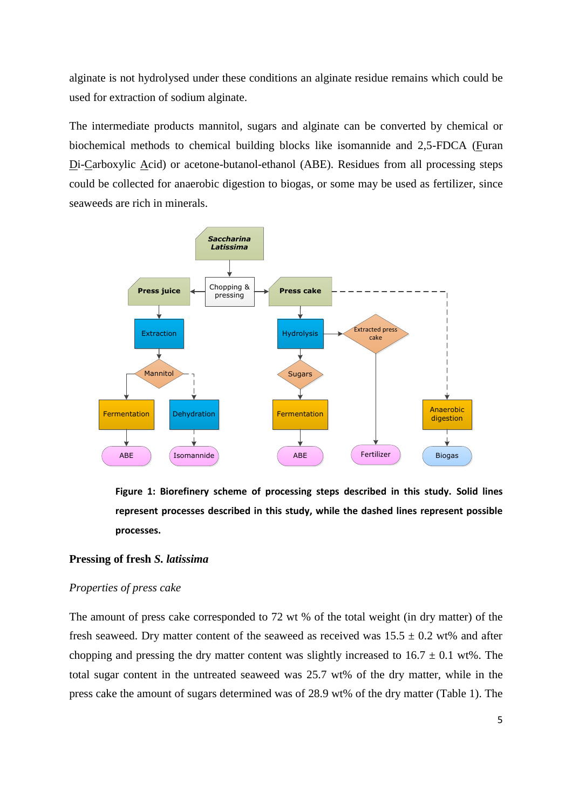alginate is not hydrolysed under these conditions an alginate residue remains which could be used for extraction of sodium alginate.

The intermediate products mannitol, sugars and alginate can be converted by chemical or biochemical methods to chemical building blocks like isomannide and 2,5-FDCA (Furan Di-Carboxylic Acid) or acetone-butanol-ethanol (ABE). Residues from all processing steps could be collected for anaerobic digestion to biogas, or some may be used as fertilizer, since seaweeds are rich in minerals.



**Figure 1: Biorefinery scheme of processing steps described in this study. Solid lines represent processes described in this study, while the dashed lines represent possible processes.**

#### **Pressing of fresh** *S. latissima*

#### *Properties of press cake*

The amount of press cake corresponded to 72 wt % of the total weight (in dry matter) of the fresh seaweed. Dry matter content of the seaweed as received was  $15.5 \pm 0.2$  wt% and after chopping and pressing the dry matter content was slightly increased to  $16.7 \pm 0.1$  wt%. The total sugar content in the untreated seaweed was 25.7 wt% of the dry matter, while in the press cake the amount of sugars determined was of 28.9 wt% of the dry matter (Table 1). The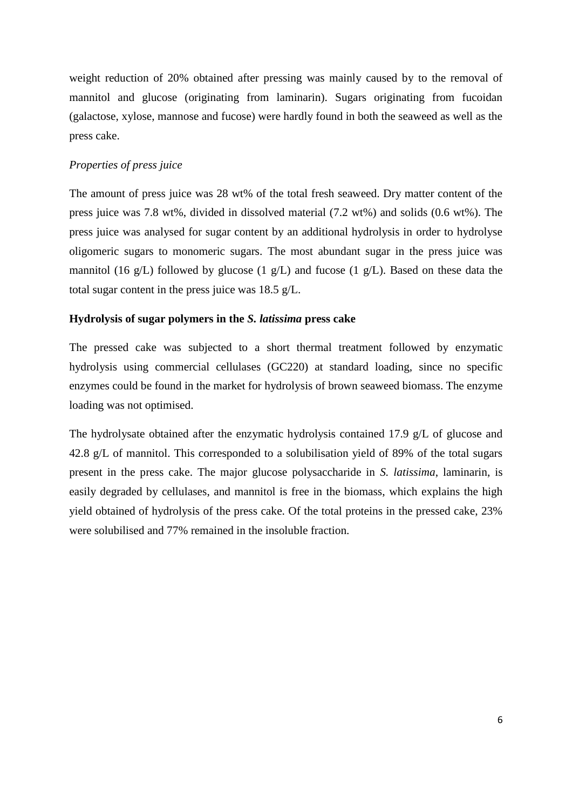weight reduction of 20% obtained after pressing was mainly caused by to the removal of mannitol and glucose (originating from laminarin). Sugars originating from fucoidan (galactose, xylose, mannose and fucose) were hardly found in both the seaweed as well as the press cake.

#### *Properties of press juice*

The amount of press juice was 28 wt% of the total fresh seaweed. Dry matter content of the press juice was 7.8 wt%, divided in dissolved material (7.2 wt%) and solids (0.6 wt%). The press juice was analysed for sugar content by an additional hydrolysis in order to hydrolyse oligomeric sugars to monomeric sugars. The most abundant sugar in the press juice was mannitol (16 g/L) followed by glucose (1 g/L) and fucose (1 g/L). Based on these data the total sugar content in the press juice was 18.5 g/L.

#### **Hydrolysis of sugar polymers in the** *S. latissima* **press cake**

The pressed cake was subjected to a short thermal treatment followed by enzymatic hydrolysis using commercial cellulases (GC220) at standard loading, since no specific enzymes could be found in the market for hydrolysis of brown seaweed biomass. The enzyme loading was not optimised.

The hydrolysate obtained after the enzymatic hydrolysis contained 17.9 g/L of glucose and 42.8 g/L of mannitol. This corresponded to a solubilisation yield of 89% of the total sugars present in the press cake. The major glucose polysaccharide in *S. latissima*, laminarin, is easily degraded by cellulases, and mannitol is free in the biomass, which explains the high yield obtained of hydrolysis of the press cake. Of the total proteins in the pressed cake, 23% were solubilised and 77% remained in the insoluble fraction.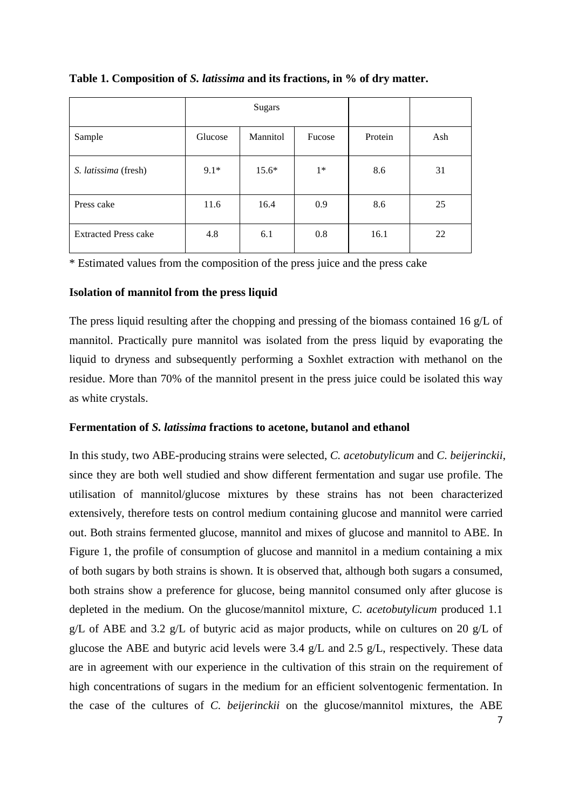|                             | <b>Sugars</b> |                 |        |         |     |
|-----------------------------|---------------|-----------------|--------|---------|-----|
| Sample                      | Glucose       | <b>Mannitol</b> | Fucose | Protein | Ash |
| S. latissima (fresh)        | $9.1*$        | $15.6*$         | $1*$   | 8.6     | 31  |
| Press cake                  | 11.6          | 16.4            | 0.9    | 8.6     | 25  |
| <b>Extracted Press cake</b> | 4.8           | 6.1             | 0.8    | 16.1    | 22  |

## **Table 1. Composition of** *S. latissima* **and its fractions, in % of dry matter.**

\* Estimated values from the composition of the press juice and the press cake

## **Isolation of mannitol from the press liquid**

The press liquid resulting after the chopping and pressing of the biomass contained 16 g/L of mannitol. Practically pure mannitol was isolated from the press liquid by evaporating the liquid to dryness and subsequently performing a Soxhlet extraction with methanol on the residue. More than 70% of the mannitol present in the press juice could be isolated this way as white crystals.

## **Fermentation of** *S. latissima* **fractions to acetone, butanol and ethanol**

7 In this study, two ABE-producing strains were selected, *C. acetobutylicum* and *C. beijerinckii*, since they are both well studied and show different fermentation and sugar use profile. The utilisation of mannitol/glucose mixtures by these strains has not been characterized extensively, therefore tests on control medium containing glucose and mannitol were carried out. Both strains fermented glucose, mannitol and mixes of glucose and mannitol to ABE. In Figure 1, the profile of consumption of glucose and mannitol in a medium containing a mix of both sugars by both strains is shown. It is observed that, although both sugars a consumed, both strains show a preference for glucose, being mannitol consumed only after glucose is depleted in the medium. On the glucose/mannitol mixture, *C. acetobutylicum* produced 1.1 g/L of ABE and 3.2 g/L of butyric acid as major products, while on cultures on 20 g/L of glucose the ABE and butyric acid levels were 3.4 g/L and 2.5 g/L, respectively. These data are in agreement with our experience in the cultivation of this strain on the requirement of high concentrations of sugars in the medium for an efficient solventogenic fermentation. In the case of the cultures of *C. beijerinckii* on the glucose/mannitol mixtures, the ABE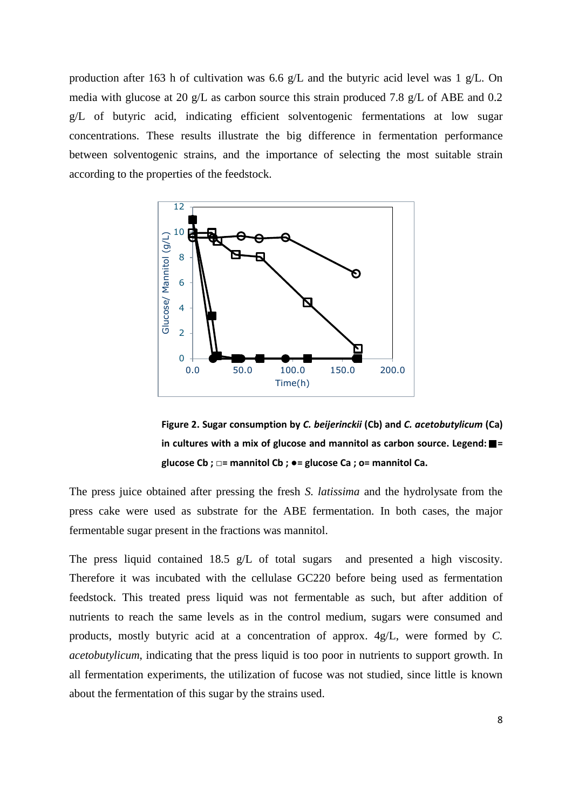production after 163 h of cultivation was 6.6 g/L and the butyric acid level was 1 g/L. On media with glucose at 20 g/L as carbon source this strain produced 7.8 g/L of ABE and 0.2 g/L of butyric acid, indicating efficient solventogenic fermentations at low sugar concentrations. These results illustrate the big difference in fermentation performance between solventogenic strains, and the importance of selecting the most suitable strain according to the properties of the feedstock.



**Figure 2. Sugar consumption by** *C. beijerinckii* **(Cb) and** *C. acetobutylicum* **(Ca) in cultures with a mix of glucose and mannitol as carbon source. Legend:**  $\blacksquare$  = **glucose Cb ; □= mannitol Cb ; ●= glucose Ca ; ο= mannitol Ca.**

The press juice obtained after pressing the fresh *S. latissima* and the hydrolysate from the press cake were used as substrate for the ABE fermentation. In both cases, the major fermentable sugar present in the fractions was mannitol.

The press liquid contained 18.5 g/L of total sugars and presented a high viscosity. Therefore it was incubated with the cellulase GC220 before being used as fermentation feedstock. This treated press liquid was not fermentable as such, but after addition of nutrients to reach the same levels as in the control medium, sugars were consumed and products, mostly butyric acid at a concentration of approx. 4g/L, were formed by *C. acetobutylicum*, indicating that the press liquid is too poor in nutrients to support growth. In all fermentation experiments, the utilization of fucose was not studied, since little is known about the fermentation of this sugar by the strains used.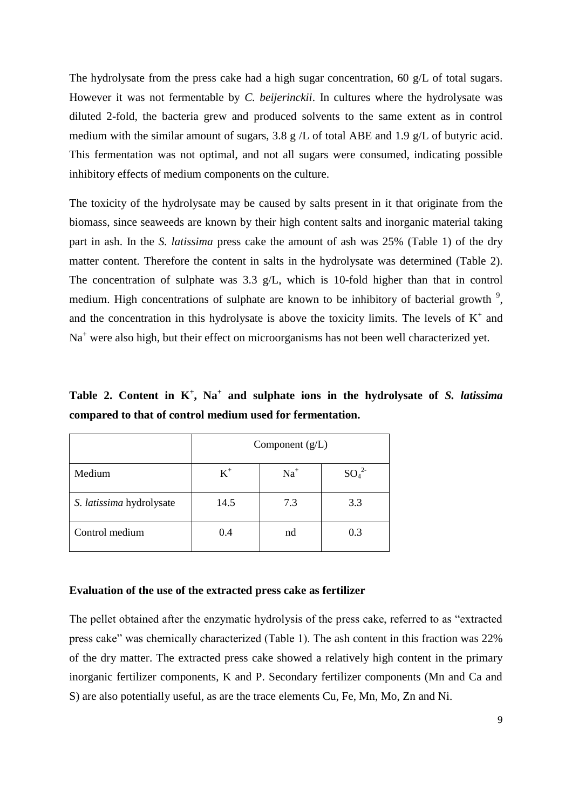The hydrolysate from the press cake had a high sugar concentration, 60  $g/L$  of total sugars. However it was not fermentable by *C. beijerinckii*. In cultures where the hydrolysate was diluted 2-fold, the bacteria grew and produced solvents to the same extent as in control medium with the similar amount of sugars, 3.8 g /L of total ABE and 1.9 g/L of butyric acid. This fermentation was not optimal, and not all sugars were consumed, indicating possible inhibitory effects of medium components on the culture.

The toxicity of the hydrolysate may be caused by salts present in it that originate from the biomass, since seaweeds are known by their high content salts and inorganic material taking part in ash. In the *S. latissima* press cake the amount of ash was 25% (Table 1) of the dry matter content. Therefore the content in salts in the hydrolysate was determined (Table 2). The concentration of sulphate was 3.3 g/L, which is 10-fold higher than that in control medium. High concentrations of sulphate are known to be inhibitory of bacterial growth  $\frac{9}{2}$  $\frac{9}{2}$  $\frac{9}{2}$ , and the concentration in this hydrolysate is above the toxicity limits. The levels of  $K^+$  and Na<sup>+</sup> were also high, but their effect on microorganisms has not been well characterized yet.

**Table 2. Content in K<sup>+</sup> , Na<sup>+</sup> and sulphate ions in the hydrolysate of** *S. latissima* **compared to that of control medium used for fermentation.**

|                          | Component $(g/L)$ |       |          |  |
|--------------------------|-------------------|-------|----------|--|
| Medium                   | $K^+$             | $Na+$ | $SO_4^2$ |  |
| S. latissima hydrolysate | 14.5              | 7.3   | 3.3      |  |
| Control medium           | 0.4               | nd    | 0.3      |  |

#### **Evaluation of the use of the extracted press cake as fertilizer**

The pellet obtained after the enzymatic hydrolysis of the press cake, referred to as "extracted press cake" was chemically characterized (Table 1). The ash content in this fraction was 22% of the dry matter. The extracted press cake showed a relatively high content in the primary inorganic fertilizer components, K and P. Secondary fertilizer components (Mn and Ca and S) are also potentially useful, as are the trace elements Cu, Fe, Mn, Mo, Zn and Ni.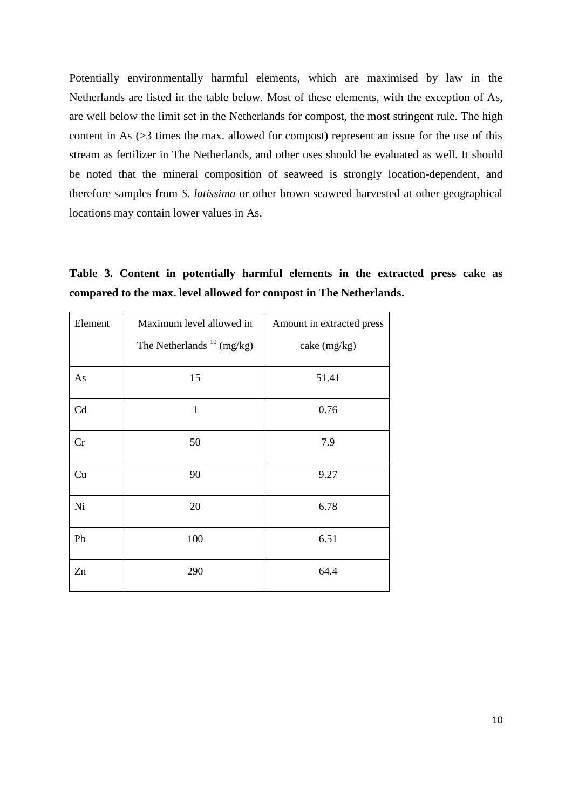Potentially environmentally harmful elements, which are maximised by law in the Netherlands are listed in the table below. Most of these elements, with the exception of As, are well below the limit set in the Netherlands for compost, the most stringent rule. The high content in As (>3 times the max. allowed for compost) represent an issue for the use of this stream as fertilizer in The Netherlands, and other uses should be evaluated as well. It should be noted that the mineral composition of seaweed is strongly location-dependent, and therefore samples from *S. latissima* or other brown seaweed harvested at other geographical locations may contain lower values in As.

**Table 3. Content in potentially harmful elements in the extracted press cake as compared to the max. level allowed for compost in The Netherlands.**

| Element | Maximum level allowed in        | Amount in extracted press |  |
|---------|---------------------------------|---------------------------|--|
|         | The Netherlands $^{10}$ (mg/kg) | cake (mg/kg)              |  |
| As      | 15                              | 51.41                     |  |
| Cd      | $\mathbf{1}$                    | 0.76                      |  |
| Cr      | 50                              | 7.9                       |  |
| Cu      | 90                              | 9.27                      |  |
| Ni      | 20                              | 6.78                      |  |
| Pb      | 100                             | 6.51                      |  |
| Zn      | 290                             | 64.4                      |  |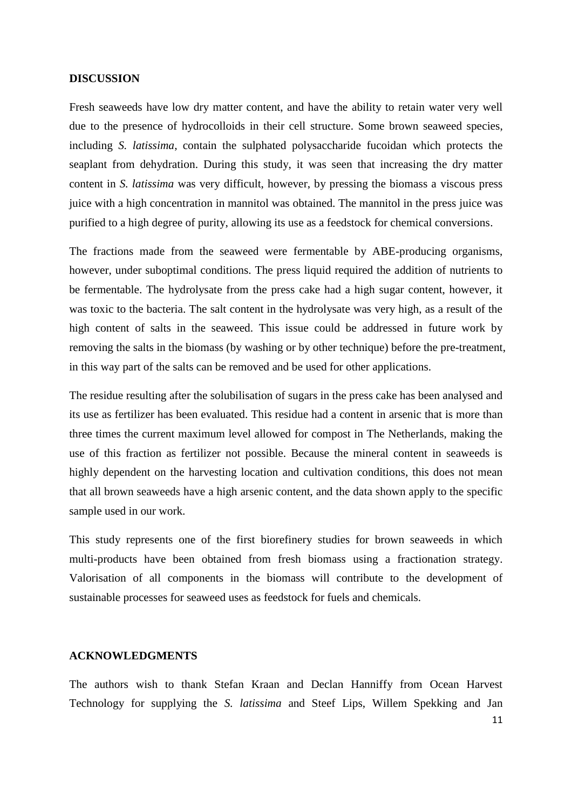#### **DISCUSSION**

Fresh seaweeds have low dry matter content, and have the ability to retain water very well due to the presence of hydrocolloids in their cell structure. Some brown seaweed species, including *S. latissima*, contain the sulphated polysaccharide fucoidan which protects the seaplant from dehydration. During this study, it was seen that increasing the dry matter content in *S. latissima* was very difficult, however, by pressing the biomass a viscous press juice with a high concentration in mannitol was obtained. The mannitol in the press juice was purified to a high degree of purity, allowing its use as a feedstock for chemical conversions.

The fractions made from the seaweed were fermentable by ABE-producing organisms, however, under suboptimal conditions. The press liquid required the addition of nutrients to be fermentable. The hydrolysate from the press cake had a high sugar content, however, it was toxic to the bacteria. The salt content in the hydrolysate was very high, as a result of the high content of salts in the seaweed. This issue could be addressed in future work by removing the salts in the biomass (by washing or by other technique) before the pre-treatment, in this way part of the salts can be removed and be used for other applications.

The residue resulting after the solubilisation of sugars in the press cake has been analysed and its use as fertilizer has been evaluated. This residue had a content in arsenic that is more than three times the current maximum level allowed for compost in The Netherlands, making the use of this fraction as fertilizer not possible. Because the mineral content in seaweeds is highly dependent on the harvesting location and cultivation conditions, this does not mean that all brown seaweeds have a high arsenic content, and the data shown apply to the specific sample used in our work.

This study represents one of the first biorefinery studies for brown seaweeds in which multi-products have been obtained from fresh biomass using a fractionation strategy. Valorisation of all components in the biomass will contribute to the development of sustainable processes for seaweed uses as feedstock for fuels and chemicals.

#### **ACKNOWLEDGMENTS**

The authors wish to thank Stefan Kraan and Declan Hanniffy from Ocean Harvest Technology for supplying the *S. latissima* and Steef Lips, Willem Spekking and Jan